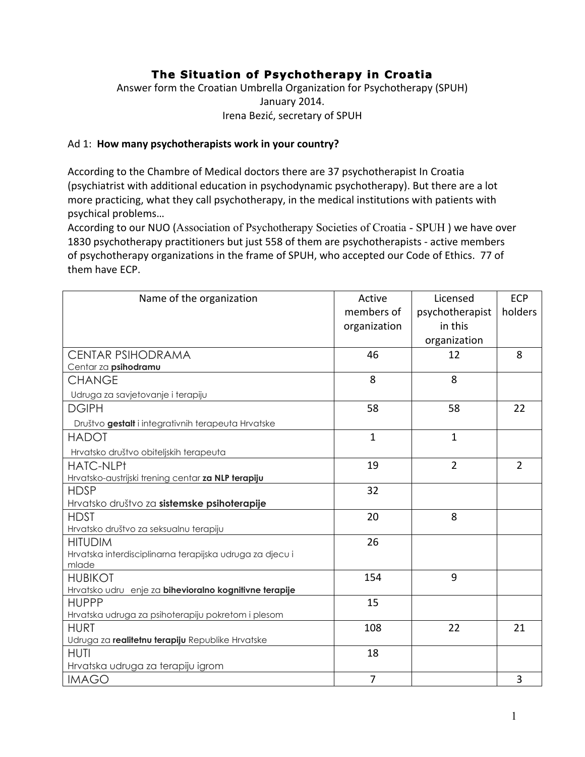# **The Situation of Psychotherapy in Croatia**

Answer form the Croatian Umbrella Organization for Psychotherapy (SPUH) January 2014. Irena Bezić, secretary of SPUH

#### Ad 1: **How many psychotherapists work in your country?**

According to the Chambre of Medical doctors there are 37 psychotherapist In Croatia (psychiatrist with additional education in psychodynamic psychotherapy). But there are a lot more practicing, what they call psychotherapy, in the medical institutions with patients with psychical problems...

According to our NUO (Association of Psychotherapy Societies of Croatia - SPUH) we have over 1830 psychotherapy practitioners but just 558 of them are psychotherapists - active members of psychotherapy organizations in the frame of SPUH, who accepted our Code of Ethics. 77 of them have ECP.

| Name of the organization                                          | Active       | Licensed        | <b>ECP</b>     |
|-------------------------------------------------------------------|--------------|-----------------|----------------|
|                                                                   | members of   | psychotherapist | holders        |
|                                                                   | organization | in this         |                |
|                                                                   |              | organization    |                |
| <b>CENTAR PSIHODRAMA</b>                                          | 46           | 12              | 8              |
| Centar za psihodramu                                              |              |                 |                |
| <b>CHANGE</b>                                                     | 8            | 8               |                |
| Udruga za savjetovanje i terapiju                                 |              |                 |                |
| <b>DGIPH</b>                                                      | 58           | 58              | 22             |
| Društvo gestalt i integrativnih terapeuta Hrvatske                |              |                 |                |
| <b>HADOT</b>                                                      | $\mathbf{1}$ | $\mathbf{1}$    |                |
| Hrvatsko društvo obiteljskih terapeuta                            |              |                 |                |
| <b>HATC-NLPt</b>                                                  | 19           | $\overline{2}$  | $\overline{2}$ |
| Hrvatsko-austrijski trening centar za NLP terapiju                |              |                 |                |
| <b>HDSP</b>                                                       | 32           |                 |                |
| Hrvatsko društvo za sistemske psihoterapije                       |              |                 |                |
| <b>HDST</b>                                                       | 20           | 8               |                |
| Hrvatsko društvo za seksualnu terapiju                            |              |                 |                |
| <b>HITUDIM</b>                                                    | 26           |                 |                |
| Hrvatska interdisciplinarna terapijska udruga za djecu i          |              |                 |                |
| mlade                                                             |              |                 |                |
| <b>HUBIKOT</b>                                                    | 154          | 9               |                |
| Hrvatsko udru enje za bihevioralno kognitivne terapije            |              |                 |                |
| <b>HUPPP</b>                                                      | 15           |                 |                |
| Hrvatska udruga za psihoterapiju pokretom i plesom<br><b>HURT</b> | 108          | 22              | 21             |
| Udruga za realitetnu terapiju Republike Hrvatske                  |              |                 |                |
| <b>HUTI</b>                                                       | 18           |                 |                |
| Hrvatska udruga za terapiju igrom                                 |              |                 |                |
| <b>IMAGO</b>                                                      | 7            |                 | 3              |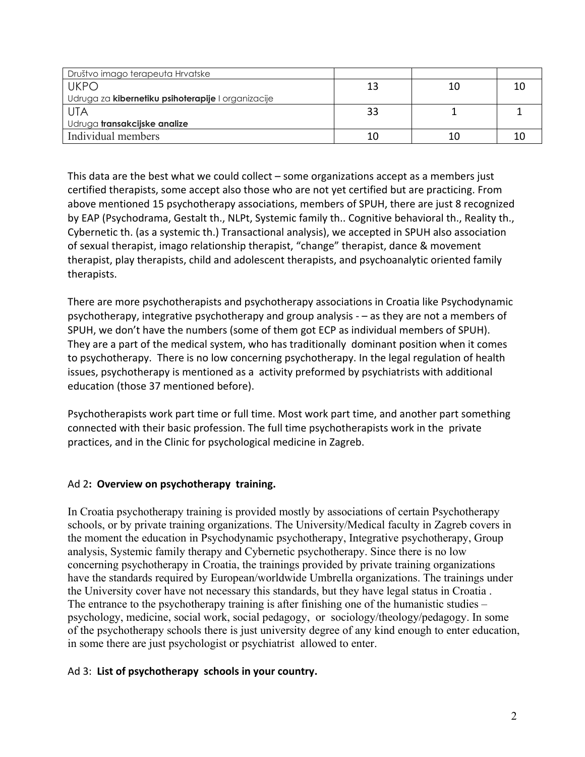| Društvo imago terapeuta Hrvatske                   |    |    |  |
|----------------------------------------------------|----|----|--|
| <b>UKPO</b>                                        | 13 | 10 |  |
| Udruga za kibernetiku psihoterapije I organizacije |    |    |  |
| <b>UTA</b>                                         | 33 |    |  |
| Udruga transakcijske analize                       |    |    |  |
| Individual members                                 | 10 |    |  |

This data are the best what we could collect – some organizations accept as a members just certified therapists, some accept also those who are not yet certified but are practicing. From above mentioned 15 psychotherapy associations, members of SPUH, there are just 8 recognized by EAP (Psychodrama, Gestalt th., NLPt, Systemic family th.. Cognitive behavioral th., Reality th., Cybernetic th. (as a systemic th.) Transactional analysis), we accepted in SPUH also association of sexual therapist, imago relationship therapist, "change" therapist, dance & movement therapist, play therapists, child and adolescent therapists, and psychoanalytic oriented family therapists.'

There are more psychotherapists and psychotherapy associations in Croatia like Psychodynamic psychotherapy, integrative psychotherapy and group analysis  $-$  as they are not a members of SPUH, we don't have the numbers (some of them got ECP as individual members of SPUH). They are a part of the medical system, who has traditionally dominant position when it comes to psychotherapy. There is no low concerning psychotherapy. In the legal regulation of health issues, psychotherapy is mentioned as a activity preformed by psychiatrists with additional education (those 37 mentioned before).

Psychotherapists work part time or full time. Most work part time, and another part something connected with their basic profession. The full time psychotherapists work in the private practices, and in the Clinic for psychological medicine in Zagreb.

#### Ad 2: Overview on psychotherapy training.

In Croatia psychotherapy training is provided mostly by associations of certain Psychotherapy schools, or by private training organizations. The University/Medical faculty in Zagreb covers in the moment the education in Psychodynamic psychotherapy, Integrative psychotherapy, Group analysis, Systemic family therapy and Cybernetic psychotherapy. Since there is no low concerning psychotherapy in Croatia, the trainings provided by private training organizations have the standards required by European/worldwide Umbrella organizations. The trainings under the University cover have not necessary this standards, but they have legal status in Croatia . The entrance to the psychotherapy training is after finishing one of the humanistic studies – psychology, medicine, social work, social pedagogy, or sociology/theology/pedagogy. In some of the psychotherapy schools there is just university degree of any kind enough to enter education, in some there are just psychologist or psychiatrist allowed to enter.

#### Ad 3: List of psychotherapy schools in your country.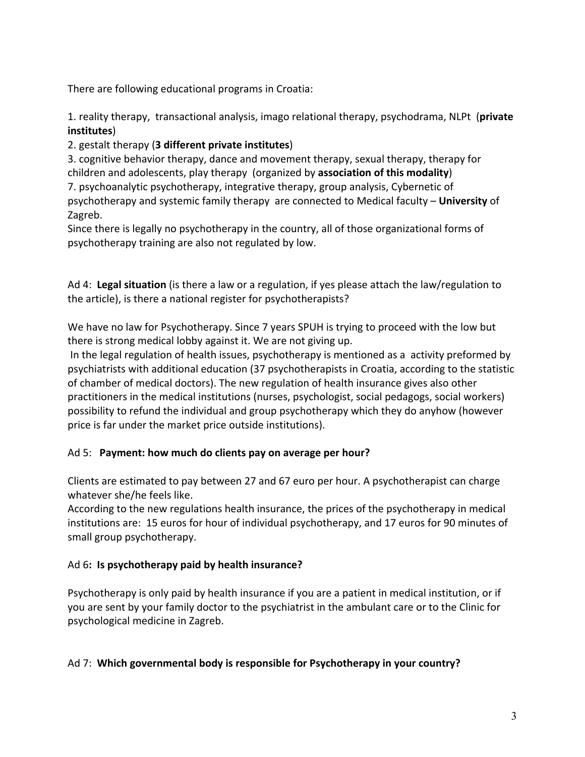There are following educational programs in Croatia:

1. reality therapy, transactional analysis, imago relational therapy, psychodrama, NLPt (private **institutes**)

# 2. gestalt therapy (3 different private institutes)

3. cognitive behavior therapy, dance and movement therapy, sexual therapy, therapy for children and adolescents, play therapy (organized by association of this modality) 7. psychoanalytic psychotherapy, integrative therapy, group analysis, Cybernetic of psychotherapy and systemic family therapy' are connected to Medical faculty - University of Zagreb.

Since there is legally no psychotherapy in the country, all of those organizational forms of psychotherapy training are also not regulated by low.

Ad 4: Legal situation (is there a law or a regulation, if yes please attach the law/regulation to the article), is there a national register for psychotherapists?

We have no law for Psychotherapy. Since 7 years SPUH is trying to proceed with the low but there is strong medical lobby against it. We are not giving up.

In the legal regulation of health issues, psychotherapy is mentioned as a activity preformed by psychiatrists with additional education (37 psychotherapists in Croatia, according to the statistic of chamber of medical doctors). The new regulation of health insurance gives also other practitioners in the medical institutions (nurses, psychologist, social pedagogs, social workers) possibility to refund the individual and group psychotherapy which they do anyhow (however price is far under the market price outside institutions).

# Ad 5: Payment: how much do clients pay on average per hour?

Clients are estimated to pay between 27 and 67 euro per hour. A psychotherapist can charge whatever she/he feels like.

According to the new regulations health insurance, the prices of the psychotherapy in medical institutions are: 15 euros for hour of individual psychotherapy, and 17 euros for 90 minutes of small group psychotherapy.

# Ad 6: Is psychotherapy paid by health insurance?

Psychotherapy is only paid by health insurance if you are a patient in medical institution, or if you are sent by your family doctor to the psychiatrist in the ambulant care or to the Clinic for psychological medicine in Zagreb.

# Ad 7: Which governmental body is responsible for Psychotherapy in your country?